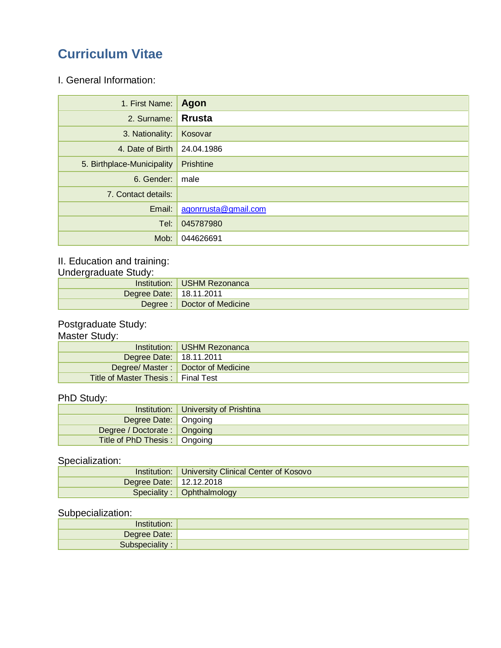# **Curriculum Vitae**

#### I. General Information:

| 1. First Name:             | Agon                 |
|----------------------------|----------------------|
| 2. Surname:                | <b>Rrusta</b>        |
| 3. Nationality:            | Kosovar              |
| 4. Date of Birth           | 24.04.1986           |
| 5. Birthplace-Municipality | Prishtine            |
| 6. Gender:                 | male                 |
| 7. Contact details:        |                      |
| Email:                     | agonrrusta@gmail.com |
| Tel:                       | 045787980            |
| Mob:                       | 044626691            |

#### II. Education and training:

Undergraduate Study:

|                         | Institution: USHM Rezonanca |
|-------------------------|-----------------------------|
| Degree Date: 18.11.2011 |                             |
|                         | Degree: Doctor of Medicine  |

#### Postgraduate Study:

#### Master Study:

|                                           | Institution: USHM Rezonanca          |
|-------------------------------------------|--------------------------------------|
| Degree Date: 18.11.2011                   |                                      |
|                                           | Degree/ Master:   Doctor of Medicine |
| <b>Title of Master Thesis:</b> Final Test |                                      |

### PhD Study:

|                                | Institution:   University of Prishtina |  |
|--------------------------------|----------------------------------------|--|
| Degree Date:   Ongoing         |                                        |  |
| Degree / Doctorate :   Ongoing |                                        |  |
| Title of PhD Thesis:   Ongoing |                                        |  |

# Specialization:

|                         | <b>Institution:   University Clinical Center of Kosovo</b> |  |
|-------------------------|------------------------------------------------------------|--|
| Degree Date: 12.12.2018 |                                                            |  |
|                         | Speciality: Ophthalmology                                  |  |

#### Subpecialization:

| Degree Date: |  |
|--------------|--|
|              |  |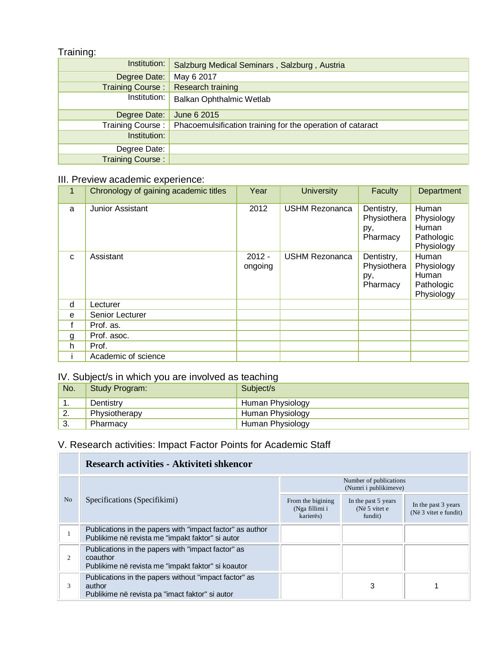#### Training:

| ີ                       |                                                            |
|-------------------------|------------------------------------------------------------|
| Institution:            | Salzburg Medical Seminars, Salzburg, Austria               |
| Degree Date:            | May 6 2017                                                 |
| <b>Training Course:</b> | Research training                                          |
| Institution:            | <b>Balkan Ophthalmic Wetlab</b>                            |
| Degree Date:            | June 6 2015                                                |
| Training Course:        | Phacoemulsification training for the operation of cataract |
| Institution:            |                                                            |
| Degree Date:            |                                                            |
| <b>Training Course:</b> |                                                            |

## III. Preview academic experience:

| 1            | Chronology of gaining academic titles | Year                | <b>University</b>     | Faculty                                      | Department                                               |
|--------------|---------------------------------------|---------------------|-----------------------|----------------------------------------------|----------------------------------------------------------|
| a            | Junior Assistant                      | 2012                | <b>USHM Rezonanca</b> | Dentistry,<br>Physiothera<br>py,<br>Pharmacy | Human<br>Physiology<br>Human<br>Pathologic<br>Physiology |
| $\mathbf{C}$ | Assistant                             | $2012 -$<br>ongoing | <b>USHM Rezonanca</b> | Dentistry,<br>Physiothera<br>py,<br>Pharmacy | Human<br>Physiology<br>Human<br>Pathologic<br>Physiology |
| d            | Lecturer                              |                     |                       |                                              |                                                          |
| e            | Senior Lecturer                       |                     |                       |                                              |                                                          |
| f            | Prof. as.                             |                     |                       |                                              |                                                          |
| g            | Prof. asoc.                           |                     |                       |                                              |                                                          |
| h            | Prof.                                 |                     |                       |                                              |                                                          |
|              | Academic of science                   |                     |                       |                                              |                                                          |

#### IV. Subject/s in which you are involved as teaching

| No.     | Study Program: | $\overline{\phantom{a}}$<br>Subject/s |
|---------|----------------|---------------------------------------|
| . .     | Dentistry      | Human Physiology                      |
| z.      | Physiotherapy  | Human Physiology                      |
| ົ<br>J. | Pharmacy       | Human Physiology                      |

## V. Research activities: Impact Factor Points for Academic Staff

|                | Research activities - Aktiviteti shkencor                                                                            |                                                  |                                                 |                                              |  |
|----------------|----------------------------------------------------------------------------------------------------------------------|--------------------------------------------------|-------------------------------------------------|----------------------------------------------|--|
|                | Specifications (Specifikimi)                                                                                         | Number of publications<br>(Numri i publikimeve)  |                                                 |                                              |  |
| N <sub>o</sub> |                                                                                                                      | From the bigining<br>(Nga fillimi i<br>karierës) | In the past 5 years<br>(Në 5 vitet e<br>fundit) | In the past 3 years<br>(Në 3 vitet e fundit) |  |
|                | Publications in the papers with "impact factor" as author<br>Publikime në revista me "impakt faktor" si autor        |                                                  |                                                 |                                              |  |
| 2              | Publications in the papers with "impact factor" as<br>coauthor<br>Publikime në revista me "impakt faktor" si koautor |                                                  |                                                 |                                              |  |
| 3              | Publications in the papers without "impact factor" as<br>author<br>Publikime në revista pa "imact faktor" si autor   |                                                  | 3                                               |                                              |  |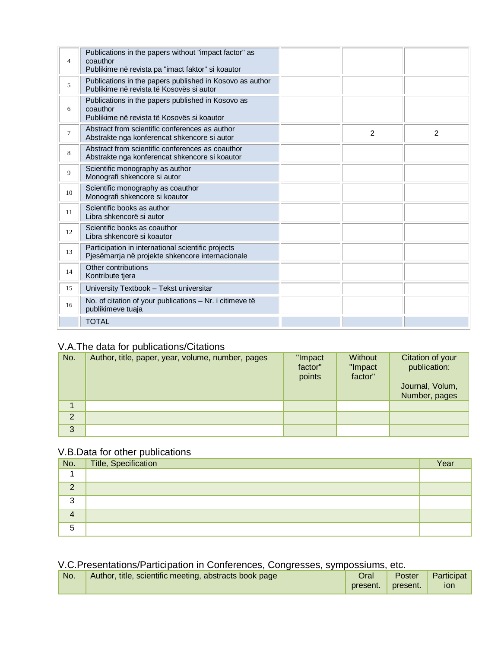| $\overline{4}$ | Publications in the papers without "impact factor" as<br>coauthor<br>Publikime në revista pa "imact faktor" si koautor |                |               |
|----------------|------------------------------------------------------------------------------------------------------------------------|----------------|---------------|
| 5              | Publications in the papers published in Kosovo as author<br>Publikime në revista të Kosovës si autor                   |                |               |
| 6              | Publications in the papers published in Kosovo as<br>coauthor<br>Publikime në revista të Kosovës si koautor            |                |               |
| $\tau$         | Abstract from scientific conferences as author<br>Abstrakte nga konferencat shkencore si autor                         | $\overline{2}$ | $\mathcal{P}$ |
| 8              | Abstract from scientific conferences as coauthor<br>Abstrakte nga konferencat shkencore si koautor                     |                |               |
| 9              | Scientific monography as author<br>Monografi shkencore si autor                                                        |                |               |
| 10             | Scientific monography as coauthor<br>Monografi shkencore si koautor                                                    |                |               |
| 11             | Scientific books as author<br>Libra shkencorë si autor                                                                 |                |               |
| 12             | Scientific books as coauthor<br>Libra shkencorë si koautor                                                             |                |               |
| 13             | Participation in international scientific projects<br>Pjesëmarrja në projekte shkencore internacionale                 |                |               |
| 14             | Other contributions<br>Kontribute tjera                                                                                |                |               |
| 15             | University Textbook - Tekst universitar                                                                                |                |               |
| 16             | No. of citation of your publications - Nr. i citimeve të<br>publikimeve tuaja                                          |                |               |
|                | <b>TOTAL</b>                                                                                                           |                |               |

## V.A.The data for publications/Citations

| No.            | Author, title, paper, year, volume, number, pages | "Impact<br>factor"<br>points | Without<br>"Impact<br>factor" | Citation of your<br>publication:<br>Journal, Volum,<br>Number, pages |
|----------------|---------------------------------------------------|------------------------------|-------------------------------|----------------------------------------------------------------------|
|                |                                                   |                              |                               |                                                                      |
| $\overline{2}$ |                                                   |                              |                               |                                                                      |
| 3              |                                                   |                              |                               |                                                                      |

#### V.B.Data for other publications

| No.      | Title, Specification | Year |
|----------|----------------------|------|
|          |                      |      |
| $\Omega$ |                      |      |
| ົ        |                      |      |
| 4        |                      |      |
| 5        |                      |      |

## V.C.Presentations/Participation in Conferences, Congresses, sympossiums, etc.

| No. | Author, title, scientific meeting, abstracts book page | Oral     | Poster            | Participat |
|-----|--------------------------------------------------------|----------|-------------------|------------|
|     |                                                        | present. | <b>v</b> present. | ion        |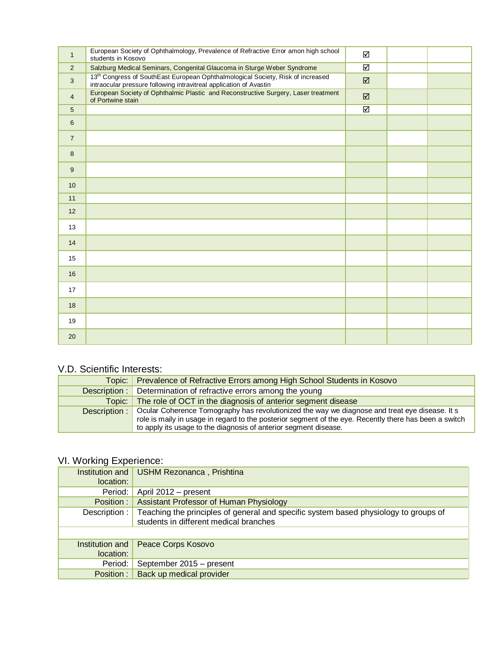| $\mathbf{1}$   | European Society of Ophthalmology, Prevalence of Refractive Error amon high school<br>students in Kosovo                                                          | ☑                       |  |
|----------------|-------------------------------------------------------------------------------------------------------------------------------------------------------------------|-------------------------|--|
| 2              | Salzburg Medical Seminars, Congenital Glaucoma in Sturge Weber Syndrome                                                                                           | $\overline{\Xi}$        |  |
| $\mathbf{3}$   | 13 <sup>th</sup> Congress of SouthEast European Ophthalmological Society, Risk of increased<br>intraocular pressure following intravitreal application of Avastin | $\boxtimes$             |  |
| $\overline{4}$ | European Society of Ophthalmic Plastic and Reconstructive Surgery, Laser treatment<br>of Portwine stain                                                           | $\boxtimes$             |  |
| 5              |                                                                                                                                                                   | $\overline{\mathbf{z}}$ |  |
| 6              |                                                                                                                                                                   |                         |  |
| $\overline{7}$ |                                                                                                                                                                   |                         |  |
| 8              |                                                                                                                                                                   |                         |  |
| 9              |                                                                                                                                                                   |                         |  |
| 10             |                                                                                                                                                                   |                         |  |
| 11             |                                                                                                                                                                   |                         |  |
| 12             |                                                                                                                                                                   |                         |  |
| 13             |                                                                                                                                                                   |                         |  |
| 14             |                                                                                                                                                                   |                         |  |
| 15             |                                                                                                                                                                   |                         |  |
| 16             |                                                                                                                                                                   |                         |  |
| 17             |                                                                                                                                                                   |                         |  |
| 18             |                                                                                                                                                                   |                         |  |
| 19             |                                                                                                                                                                   |                         |  |
| 20             |                                                                                                                                                                   |                         |  |

#### V.D. Scientific Interests:

| Topic: Prevalence of Refractive Errors among High School Students in Kosovo                                                                                                                                                                                                                 |
|---------------------------------------------------------------------------------------------------------------------------------------------------------------------------------------------------------------------------------------------------------------------------------------------|
| <b>Description:</b> Determination of refractive errors among the young                                                                                                                                                                                                                      |
| Topic: The role of OCT in the diagnosis of anterior segment disease                                                                                                                                                                                                                         |
| Description:   Ocular Coherence Tomography has revolutionized the way we diagnose and treat eye disease. It s<br>role is maily in usage in regard to the posterior segment of the eye. Recently there has been a switch<br>to apply its usage to the diagnosis of anterior segment disease. |

# VI. Working Experience:

| location: | Institution and   USHM Rezonanca, Prishtina                                                                                                  |
|-----------|----------------------------------------------------------------------------------------------------------------------------------------------|
| Period:   | April 2012 - present                                                                                                                         |
| Position: | Assistant Professor of Human Physiology                                                                                                      |
|           | Description : Teaching the principles of general and specific system based physiology to groups of<br>students in different medical branches |
|           |                                                                                                                                              |
| location: | Institution and   Peace Corps Kosovo                                                                                                         |
| Period:   | September 2015 - present                                                                                                                     |
|           | Position:   Back up medical provider                                                                                                         |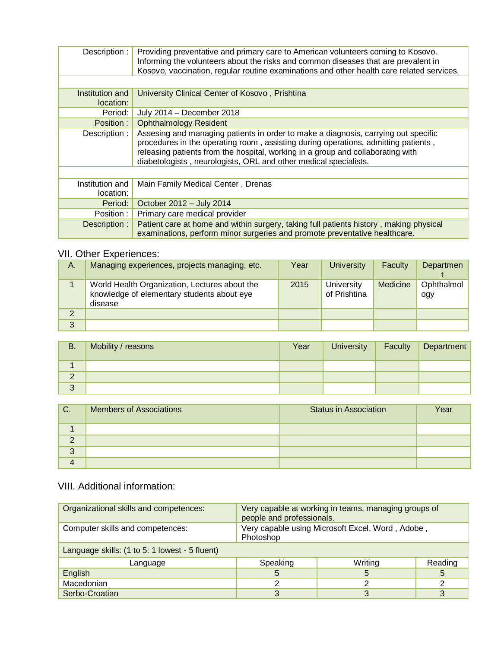| Description :                | Providing preventative and primary care to American volunteers coming to Kosovo.<br>Informing the volunteers about the risks and common diseases that are prevalent in<br>Kosovo, vaccination, regular routine examinations and other health care related services.                                                             |
|------------------------------|---------------------------------------------------------------------------------------------------------------------------------------------------------------------------------------------------------------------------------------------------------------------------------------------------------------------------------|
|                              |                                                                                                                                                                                                                                                                                                                                 |
| Institution and              | University Clinical Center of Kosovo, Prishtina                                                                                                                                                                                                                                                                                 |
| location:                    |                                                                                                                                                                                                                                                                                                                                 |
| Period:                      | July 2014 - December 2018                                                                                                                                                                                                                                                                                                       |
| Position :                   | <b>Ophthalmology Resident</b>                                                                                                                                                                                                                                                                                                   |
| Description :                | Assesing and managing patients in order to make a diagnosis, carrying out specific<br>procedures in the operating room, assisting during operations, admitting patients,<br>releasing patients from the hospital, working in a group and collaborating with<br>diabetologists, neurologists, ORL and other medical specialists. |
|                              |                                                                                                                                                                                                                                                                                                                                 |
| Institution and<br>location: | Main Family Medical Center, Drenas                                                                                                                                                                                                                                                                                              |
| Period: I                    | October 2012 - July 2014                                                                                                                                                                                                                                                                                                        |
| Position:                    | Primary care medical provider                                                                                                                                                                                                                                                                                                   |
| Description :                | Patient care at home and within surgery, taking full patients history, making physical<br>examinations, perform minor surgeries and promote preventative healthcare.                                                                                                                                                            |

## VII. Other Experiences:

| А. | Managing experiences, projects managing, etc.                                                          | Year | <b>University</b>          | Faculty  | Departmen         |
|----|--------------------------------------------------------------------------------------------------------|------|----------------------------|----------|-------------------|
|    | World Health Organization, Lectures about the<br>knowledge of elementary students about eye<br>disease | 2015 | University<br>of Prishtina | Medicine | Ophthalmol<br>ogy |
|    |                                                                                                        |      |                            |          |                   |
| 3  |                                                                                                        |      |                            |          |                   |

| <b>B.</b>              | Mobility / reasons | Year | University | <b>Faculty Department</b> |
|------------------------|--------------------|------|------------|---------------------------|
|                        |                    |      |            |                           |
| $\sqrt{2}$<br><u>.</u> |                    |      |            |                           |
| $\sqrt{2}$<br>J        |                    |      |            |                           |

| $C$ .   | <b>Members of Associations</b> | <b>Status in Association</b> | Year |
|---------|--------------------------------|------------------------------|------|
|         |                                |                              |      |
|         |                                |                              |      |
| ≏<br>C, |                                |                              |      |
|         |                                |                              |      |

## VIII. Additional information:

| Organizational skills and competences:         | Very capable at working in teams, managing groups of<br>people and professionals. |         |         |
|------------------------------------------------|-----------------------------------------------------------------------------------|---------|---------|
| Computer skills and competences:               | Very capable using Microsoft Excel, Word, Adobe,<br>Photoshop                     |         |         |
| Language skills: (1 to 5: 1 lowest - 5 fluent) |                                                                                   |         |         |
| Language                                       | Speaking                                                                          | Writing | Reading |
| English                                        | 5                                                                                 | 5       | 5       |
| Macedonian                                     |                                                                                   | っ       |         |
| Serbo-Croatian                                 |                                                                                   |         |         |